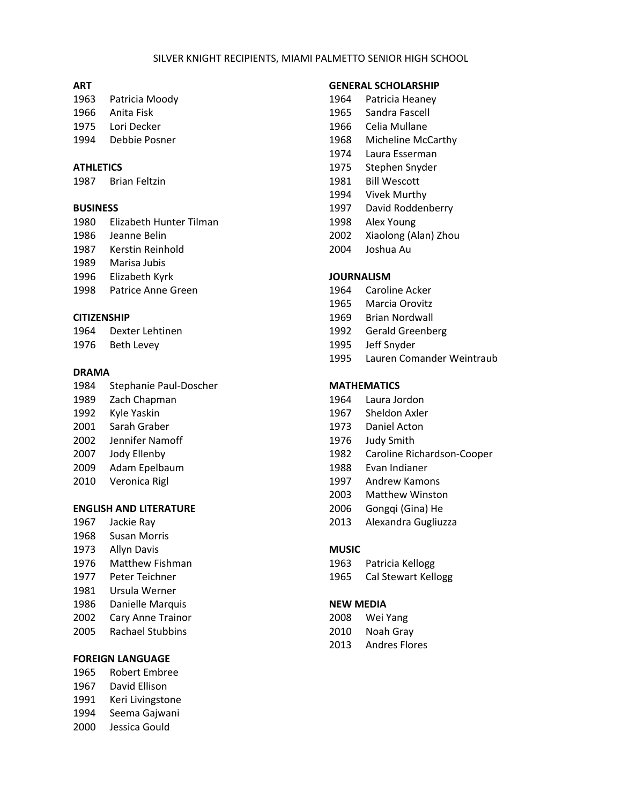### SILVER KNIGHT RECIPIENTS, MIAMI PALMETTO SENIOR HIGH SCHOOL

#### **ART**

- Patricia Moody
- Anita Fisk
- Lori Decker
- Debbie Posner

## **ATHLETICS**

Brian Feltzin

#### **BUSINESS**

 Elizabeth Hunter Tilman Jeanne Belin Kerstin Reinhold Marisa Jubis Elizabeth Kyrk Patrice Anne Green

## **CITIZENSHIP**

 Dexter Lehtinen Beth Levey

#### **DRAMA**

 Stephanie Paul‐Doscher Zach Chapman Kyle Yaskin Sarah Graber Jennifer Namoff Jody Ellenby Adam Epelbaum Veronica Rigl

## **ENGLISH AND LITERATURE**

- Jackie Ray
- Susan Morris
- Allyn Davis
- Matthew Fishman
- Peter Teichner
- Ursula Werner
- Danielle Marquis
- Cary Anne Trainor
- Rachael Stubbins

#### **FOREIGN LANGUAGE**

- Robert Embree
- David Ellison
- Keri Livingstone
- Seema Gajwani
- Jessica Gould

## **GENERAL SCHOLARSHIP**

- Patricia Heaney
- Sandra Fascell
- Celia Mullane
- Micheline McCarthy
- Laura Esserman
- Stephen Snyder
- Bill Wescott
- Vivek Murthy
- David Roddenberry
- Alex Young
- Xiaolong (Alan) Zhou
- Joshua Au

## **JOURNALISM**

- Caroline Acker
- Marcia Orovitz
- Brian Nordwall
- Gerald Greenberg
- Jeff Snyder
- Lauren Comander Weintraub

# **MATHEMATICS**

- Laura Jordon
- Sheldon Axler
- Daniel Acton
- Judy Smith
- Caroline Richardson‐Cooper
- Evan Indianer
- Andrew Kamons
- Matthew Winston
- Gongqi (Gina) He
- Alexandra Gugliuzza

#### **MUSIC**

- Patricia Kellogg
- Cal Stewart Kellogg

### **NEW MEDIA**

- Wei Yang
- Noah Gray
- Andres Flores